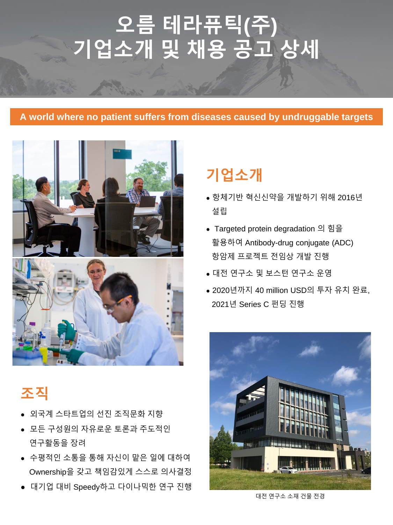# **기업소개**

- 항체기반 혁신신약을 개발하기 위해 2016년 설립
- Targeted protein degradation 의 힘을 활용하여 Antibody-drug conjugate (ADC) 항암제 프로젝트 전임상 개발 진행
- 대전 연구소 및 보스턴 연구소 운영
- 2020년까지 40 million USD의 투자 유치 완료, 2021년 Series C 펀딩 진행



- 대기업 대비 Speedy하고 다이나믹한 연구 진행
- Ownership을 갖고 책임감있게 스스로 의사결정
- 수평적인 소통을 통해 자신이 맡은 일에 대하여
- 연구활동을 장려
- 모든 구성원의 자유로운 토론과 주도적인
- 외국계 스타트업의 선진 조직문화 지향

#### **A world where no patient suffers from diseases caused by undruggable targets**





#### 대전 연구소 소재 건물 전경

# **오름 테라퓨틱(주) 기업소개 및 채용 공고 상세**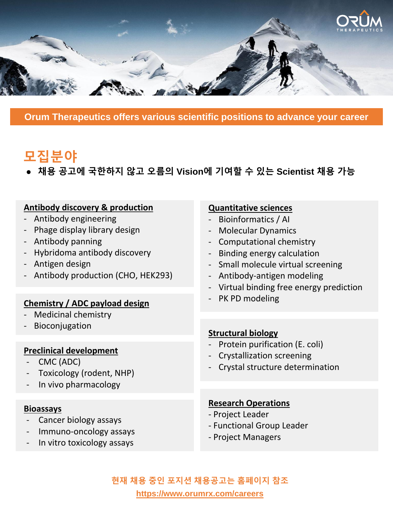#### **Structural biology**

- Protein purification (E. coli)
- Crystallization screening
- Crystal structure determination
- Toxicology (rodent, NHP)
- In vivo pharmacology

#### **Preclinical development**

CMC (ADC)

#### **Bioassays**

- Cancer biology assays
- Immuno-oncology assays
- In vitro toxicology assays

#### **Quantitative sciences**

- Bioinformatics / AI
- Molecular Dynamics
- Computational chemistry
- Binding energy calculation
- Small molecule virtual screening
- Antibody-antigen modeling
- Virtual binding free energy prediction
- 
- Antibody engineering
- Phage display library design
- Antibody panning
- Hybridoma antibody discovery
- Antigen design
- Antibody production (CHO, HEK293)

## - PK PD modeling **Chemistry / ADC payload design**

- Medicinal chemistry
- **Bioconjugation**

#### **Research Operations**

- Project Leader
- Functional Group Leader
- Project Managers

#### **Antibody discovery & production**

● **채용 공고에 국한하지 않고 오름의 Vision에 기여할 수 있는 Scientist 채용 가능**

### **현재 채용 중인 포지션 채용공고는 홈페이지 참조 https://www.orumrx.com/careers**



**Orum Therapeutics offers various scientific positions to advance your career**

# **모집분야**